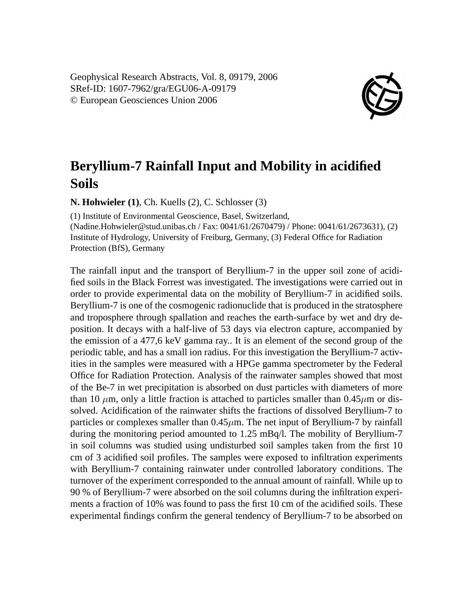Geophysical Research Abstracts, Vol. 8, 09179, 2006 SRef-ID: 1607-7962/gra/EGU06-A-09179 © European Geosciences Union 2006



## **Beryllium-7 Rainfall Input and Mobility in acidified Soils**

**N. Hohwieler (1)**, Ch. Kuells (2), C. Schlosser (3)

(1) Institute of Environmental Geoscience, Basel, Switzerland, (Nadine.Hohwieler@stud.unibas.ch / Fax: 0041/61/2670479) / Phone: 0041/61/2673631), (2) Institute of Hydrology, University of Freiburg, Germany, (3) Federal Office for Radiation Protection (BfS), Germany

The rainfall input and the transport of Beryllium-7 in the upper soil zone of acidified soils in the Black Forrest was investigated. The investigations were carried out in order to provide experimental data on the mobility of Beryllium-7 in acidified soils. Beryllium-7 is one of the cosmogenic radionuclide that is produced in the stratosphere and troposphere through spallation and reaches the earth-surface by wet and dry deposition. It decays with a half-live of 53 days via electron capture, accompanied by the emission of a 477,6 keV gamma ray.. It is an element of the second group of the periodic table, and has a small ion radius. For this investigation the Beryllium-7 activities in the samples were measured with a HPGe gamma spectrometer by the Federal Office for Radiation Protection. Analysis of the rainwater samples showed that most of the Be-7 in wet precipitation is absorbed on dust particles with diameters of more than 10  $\mu$ m, only a little fraction is attached to particles smaller than 0.45 $\mu$ m or dissolved. Acidification of the rainwater shifts the fractions of dissolved Beryllium-7 to particles or complexes smaller than  $0.45\mu$ m. The net input of Beryllium-7 by rainfall during the monitoring period amounted to 1.25 mBq/l. The mobility of Beryllium-7 in soil columns was studied using undisturbed soil samples taken from the first 10 cm of 3 acidified soil profiles. The samples were exposed to infiltration experiments with Beryllium-7 containing rainwater under controlled laboratory conditions. The turnover of the experiment corresponded to the annual amount of rainfall. While up to 90 % of Beryllium-7 were absorbed on the soil columns during the infiltration experiments a fraction of 10% was found to pass the first 10 cm of the acidified soils. These experimental findings confirm the general tendency of Beryllium-7 to be absorbed on